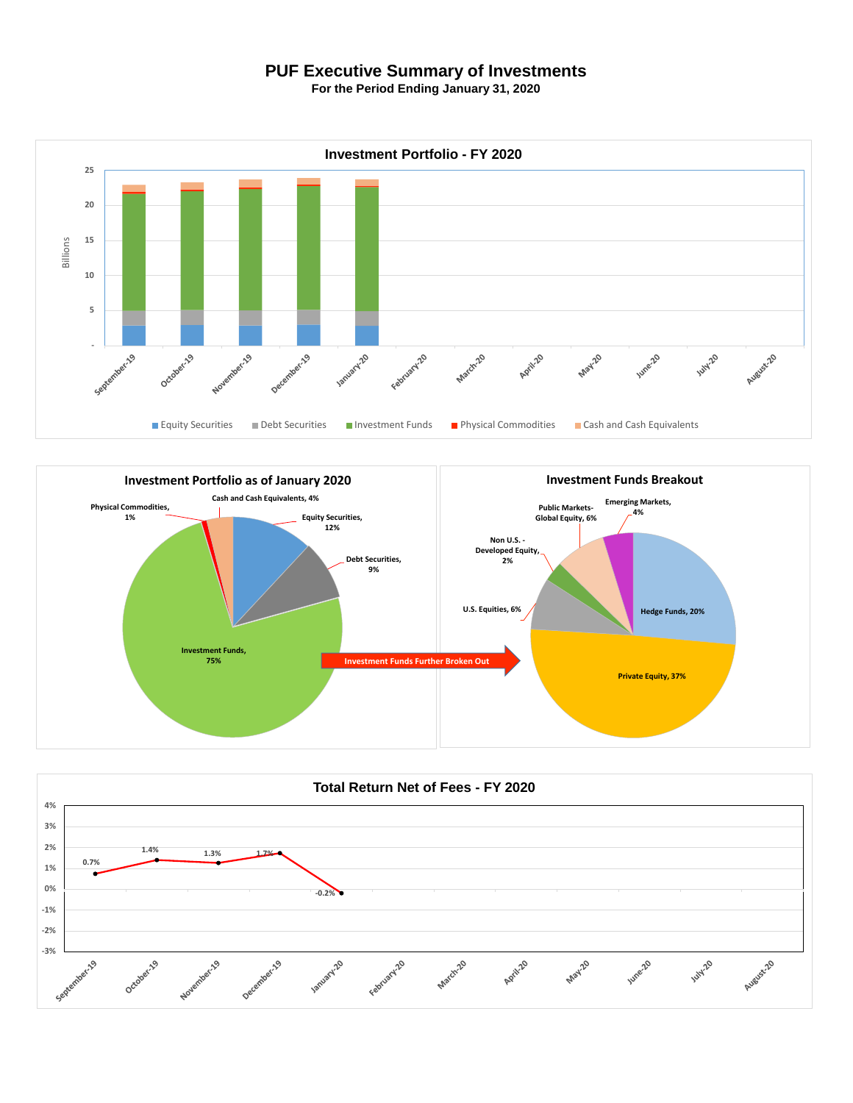## **PUF Executive Summary of Investments**

**For the Period Ending January 31, 2020**